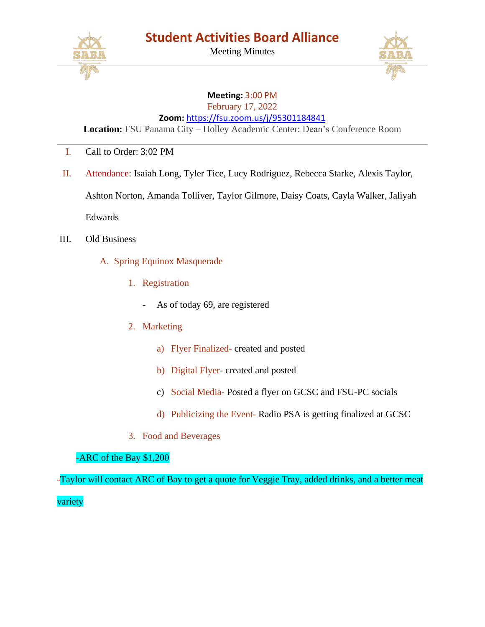

Meeting Minutes



## **Meeting:** 3:00 PM

February 17, 2022

**Zoom:** <https://fsu.zoom.us/j/95301184841>

**Location:** FSU Panama City – Holley Academic Center: Dean's Conference Room

- I. Call to Order: 3:02 PM
- II. Attendance: Isaiah Long, Tyler Tice, Lucy Rodriguez, Rebecca Starke, Alexis Taylor, Ashton Norton, Amanda Tolliver, Taylor Gilmore, Daisy Coats, Cayla Walker, Jaliyah Edwards
- III. Old Business
	- A. Spring Equinox Masquerade
		- 1. Registration
			- As of today 69, are registered
		- 2. Marketing
			- a) Flyer Finalized- created and posted
			- b) Digital Flyer- created and posted
			- c) Social Media- Posted a flyer on GCSC and FSU-PC socials
			- d) Publicizing the Event- Radio PSA is getting finalized at GCSC
		- 3. Food and Beverages

## -ARC of the Bay \$1,200

-Taylor will contact ARC of Bay to get a quote for Veggie Tray, added drinks, and a better meat variety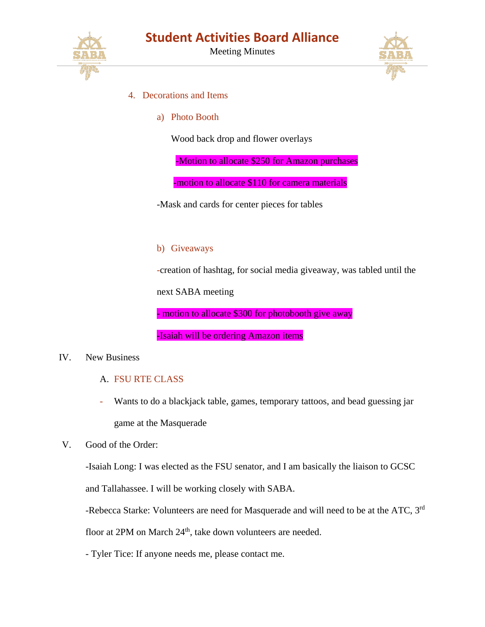

Meeting Minutes



- 4. Decorations and Items
	- a) Photo Booth

Wood back drop and flower overlays

-Motion to allocate \$250 for Amazon purchases

-motion to allocate \$110 for camera materials

-Mask and cards for center pieces for tables

## b) Giveaways

-creation of hashtag, for social media giveaway, was tabled until the

next SABA meeting

- motion to allocate \$300 for photobooth give away

-Isaiah will be ordering Amazon items

## IV. New Business

- A. FSU RTE CLASS
- Wants to do a blackjack table, games, temporary tattoos, and bead guessing jar game at the Masquerade
- V. Good of the Order:

-Isaiah Long: I was elected as the FSU senator, and I am basically the liaison to GCSC

and Tallahassee. I will be working closely with SABA.

-Rebecca Starke: Volunteers are need for Masquerade and will need to be at the ATC, 3<sup>rd</sup>

floor at 2PM on March 24<sup>th</sup>, take down volunteers are needed.

- Tyler Tice: If anyone needs me, please contact me.